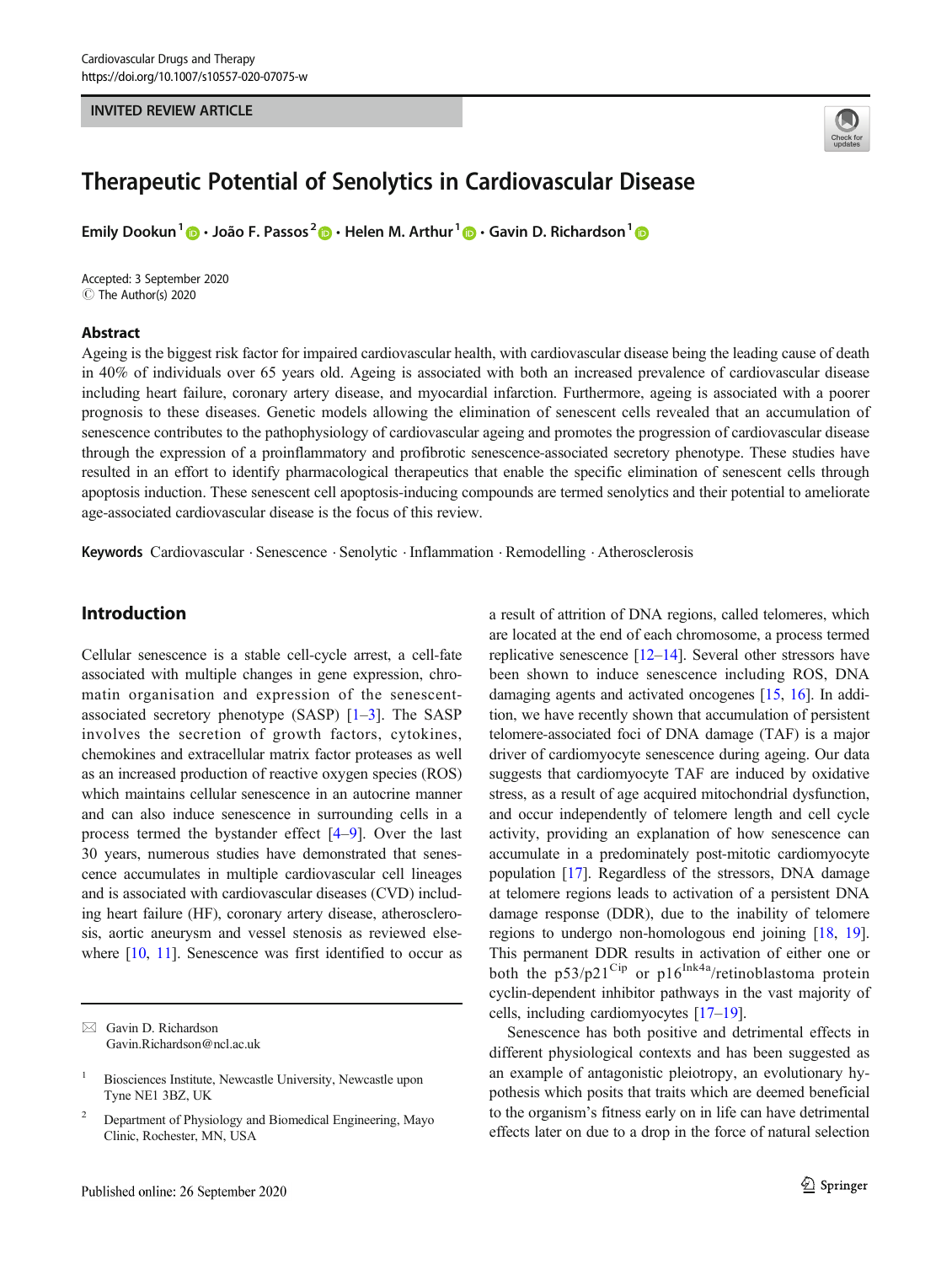#### INVITED REVIEW ARTICLE



# Therapeutic Potential of Senolytics in Cardiovascular Disease

Emily Dookun<sup>1</sup>  $\cdot$  João F. Passos<sup>2</sup>  $\cdot$  Helen M. Arthur<sup>1</sup>  $\cdot$  Gavin D. Richardson<sup>1</sup>  $\cdot$ 

Accepted: 3 September 2020 C The Author(s) 2020

#### Abstract

Ageing is the biggest risk factor for impaired cardiovascular health, with cardiovascular disease being the leading cause of death in 40% of individuals over 65 years old. Ageing is associated with both an increased prevalence of cardiovascular disease including heart failure, coronary artery disease, and myocardial infarction. Furthermore, ageing is associated with a poorer prognosis to these diseases. Genetic models allowing the elimination of senescent cells revealed that an accumulation of senescence contributes to the pathophysiology of cardiovascular ageing and promotes the progression of cardiovascular disease through the expression of a proinflammatory and profibrotic senescence-associated secretory phenotype. These studies have resulted in an effort to identify pharmacological therapeutics that enable the specific elimination of senescent cells through apoptosis induction. These senescent cell apoptosis-inducing compounds are termed senolytics and their potential to ameliorate age-associated cardiovascular disease is the focus of this review.

Keywords Cardiovascular . Senescence . Senolytic . Inflammation . Remodelling . Atherosclerosis

# Introduction

Cellular senescence is a stable cell-cycle arrest, a cell-fate associated with multiple changes in gene expression, chromatin organisation and expression of the senescentassociated secretory phenotype (SASP)  $[1-3]$  $[1-3]$  $[1-3]$  $[1-3]$ . The SASP involves the secretion of growth factors, cytokines, chemokines and extracellular matrix factor proteases as well as an increased production of reactive oxygen species (ROS) which maintains cellular senescence in an autocrine manner and can also induce senescence in surrounding cells in a process termed the bystander effect [\[4](#page-7-0)–[9\]](#page-7-0). Over the last 30 years, numerous studies have demonstrated that senescence accumulates in multiple cardiovascular cell lineages and is associated with cardiovascular diseases (CVD) including heart failure (HF), coronary artery disease, atherosclerosis, aortic aneurysm and vessel stenosis as reviewed else-where [[10](#page-7-0), [11\]](#page-7-0). Senescence was first identified to occur as

 $\boxtimes$  Gavin D. Richardson [Gavin.Richardson@ncl.ac.uk](mailto:Gavin.Richardson@ncl.ac.uk) a result of attrition of DNA regions, called telomeres, which are located at the end of each chromosome, a process termed replicative senescence [[12](#page-7-0)–[14](#page-7-0)]. Several other stressors have been shown to induce senescence including ROS, DNA damaging agents and activated oncogenes [[15,](#page-7-0) [16](#page-7-0)]. In addition, we have recently shown that accumulation of persistent telomere-associated foci of DNA damage (TAF) is a major driver of cardiomyocyte senescence during ageing. Our data suggests that cardiomyocyte TAF are induced by oxidative stress, as a result of age acquired mitochondrial dysfunction, and occur independently of telomere length and cell cycle activity, providing an explanation of how senescence can accumulate in a predominately post-mitotic cardiomyocyte population [[17\]](#page-7-0). Regardless of the stressors, DNA damage at telomere regions leads to activation of a persistent DNA damage response (DDR), due to the inability of telomere regions to undergo non-homologous end joining [\[18,](#page-7-0) [19\]](#page-7-0). This permanent DDR results in activation of either one or both the  $p53/p21^{Cip}$  or  $p16^{Ink4a}/r$ etinoblastoma protein cyclin-dependent inhibitor pathways in the vast majority of cells, including cardiomyocytes [\[17](#page-7-0)–[19\]](#page-7-0).

Senescence has both positive and detrimental effects in different physiological contexts and has been suggested as an example of antagonistic pleiotropy, an evolutionary hypothesis which posits that traits which are deemed beneficial to the organism's fitness early on in life can have detrimental effects later on due to a drop in the force of natural selection

<sup>1</sup> Biosciences Institute, Newcastle University, Newcastle upon Tyne NE1 3BZ, UK

<sup>&</sup>lt;sup>2</sup> Department of Physiology and Biomedical Engineering, Mayo Clinic, Rochester, MN, USA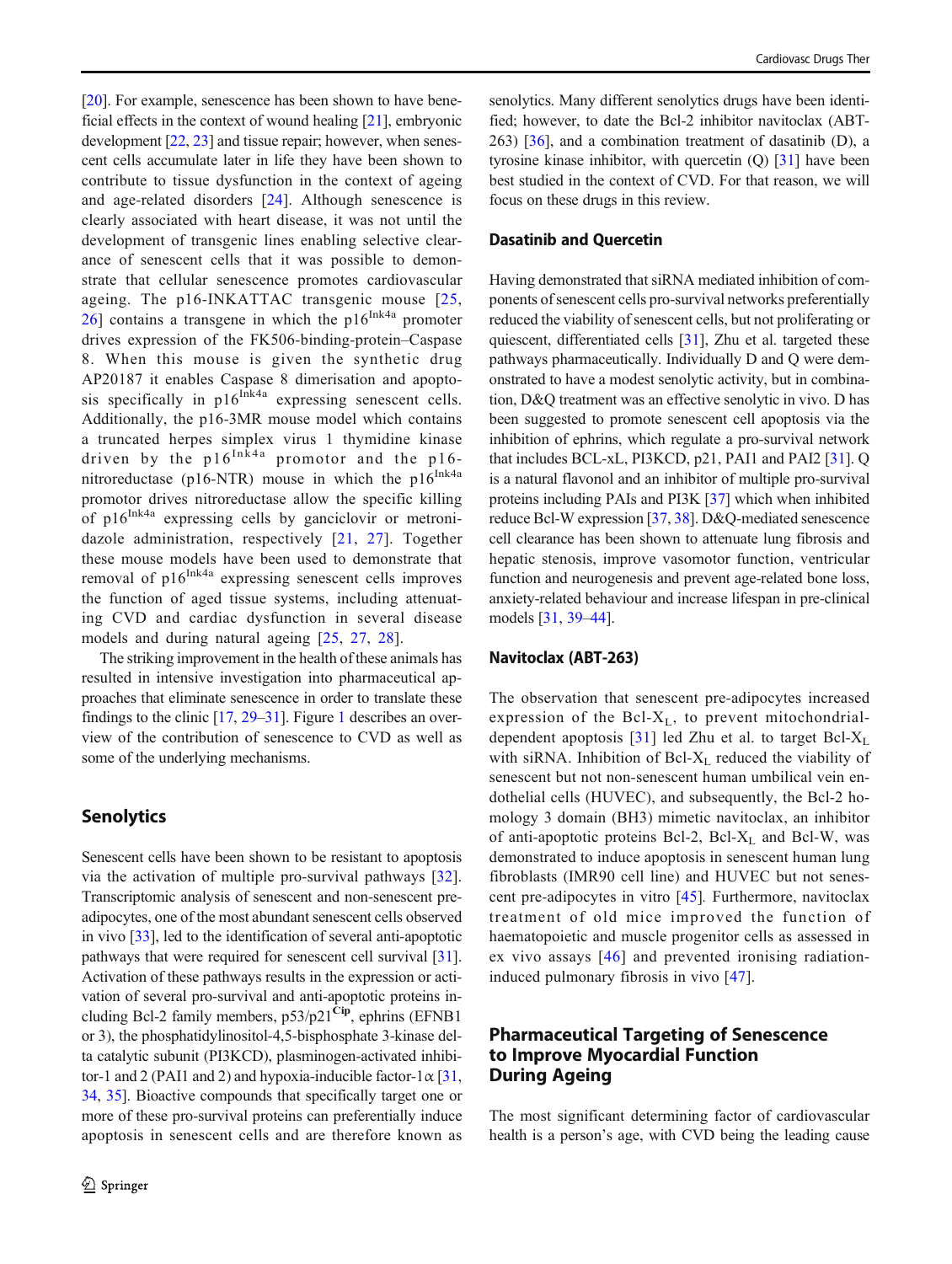[\[20\]](#page-7-0). For example, senescence has been shown to have beneficial effects in the context of wound healing [[21\]](#page-7-0), embryonic development [\[22](#page-7-0), [23\]](#page-7-0) and tissue repair; however, when senescent cells accumulate later in life they have been shown to contribute to tissue dysfunction in the context of ageing and age-related disorders [[24](#page-7-0)]. Although senescence is clearly associated with heart disease, it was not until the development of transgenic lines enabling selective clearance of senescent cells that it was possible to demonstrate that cellular senescence promotes cardiovascular ageing. The p16-INKATTAC transgenic mouse [[25,](#page-7-0) [26](#page-7-0)] contains a transgene in which the  $p16^{Ink4a}$  promoter drives expression of the FK506-binding-protein–Caspase 8. When this mouse is given the synthetic drug AP20187 it enables Caspase 8 dimerisation and apoptosis specifically in  $p16$ <sup>Ink4a</sup> expressing senescent cells. Additionally, the p16-3MR mouse model which contains a truncated herpes simplex virus 1 thymidine kinase driven by the  $p16^{\text{In\,}}$  promotor and the p16nitroreductase (p16-NTR) mouse in which the  $p16^{Ink4a}$ promotor drives nitroreductase allow the specific killing of  $p16^{Ink4a}$  expressing cells by ganciclovir or metronidazole administration, respectively [[21,](#page-7-0) [27](#page-7-0)]. Together these mouse models have been used to demonstrate that removal of  $p16^{Ink4a}$  expressing senescent cells improves the function of aged tissue systems, including attenuating CVD and cardiac dysfunction in several disease models and during natural ageing [\[25](#page-7-0), [27,](#page-7-0) [28\]](#page-7-0).

The striking improvement in the health of these animals has resulted in intensive investigation into pharmaceutical approaches that eliminate senescence in order to translate these findings to the clinic [\[17](#page-7-0), [29](#page-7-0)–[31\]](#page-7-0). Figure [1](#page-2-0) describes an overview of the contribution of senescence to CVD as well as some of the underlying mechanisms.

### **Senolytics**

Senescent cells have been shown to be resistant to apoptosis via the activation of multiple pro-survival pathways [\[32](#page-7-0)]. Transcriptomic analysis of senescent and non-senescent preadipocytes, one of the most abundant senescent cells observed in vivo [\[33](#page-7-0)], led to the identification of several anti-apoptotic pathways that were required for senescent cell survival [[31\]](#page-7-0). Activation of these pathways results in the expression or activation of several pro-survival and anti-apoptotic proteins including Bcl-2 family members,  $p53/p21^{Cip}$ , ephrins (EFNB1) or 3), the phosphatidylinositol-4,5-bisphosphate 3-kinase delta catalytic subunit (PI3KCD), plasminogen-activated inhibitor-1 and 2 (PAI1 and 2) and hypoxia-inducible factor-1 $\alpha$  [[31,](#page-7-0) [34,](#page-7-0) [35](#page-7-0)]. Bioactive compounds that specifically target one or more of these pro-survival proteins can preferentially induce apoptosis in senescent cells and are therefore known as senolytics. Many different senolytics drugs have been identified; however, to date the Bcl-2 inhibitor navitoclax (ABT-263) [\[36\]](#page-7-0), and a combination treatment of dasatinib (D), a tyrosine kinase inhibitor, with quercetin (Q) [[31](#page-7-0)] have been best studied in the context of CVD. For that reason, we will focus on these drugs in this review.

#### Dasatinib and Quercetin

Having demonstrated that siRNA mediated inhibition of components of senescent cells pro-survival networks preferentially reduced the viability of senescent cells, but not proliferating or quiescent, differentiated cells [\[31\]](#page-7-0), Zhu et al. targeted these pathways pharmaceutically. Individually D and Q were demonstrated to have a modest senolytic activity, but in combination, D&Q treatment was an effective senolytic in vivo. D has been suggested to promote senescent cell apoptosis via the inhibition of ephrins, which regulate a pro-survival network that includes BCL-xL, PI3KCD, p21, PAI1 and PAI2 [\[31](#page-7-0)]. Q is a natural flavonol and an inhibitor of multiple pro-survival proteins including PAIs and PI3K [\[37\]](#page-7-0) which when inhibited reduce Bcl-W expression [[37,](#page-7-0) [38\]](#page-7-0). D&Q-mediated senescence cell clearance has been shown to attenuate lung fibrosis and hepatic stenosis, improve vasomotor function, ventricular function and neurogenesis and prevent age-related bone loss, anxiety-related behaviour and increase lifespan in pre-clinical models [\[31,](#page-7-0) [39](#page-7-0)–[44](#page-8-0)].

#### Navitoclax (ABT-263)

The observation that senescent pre-adipocytes increased expression of the Bcl- $X_L$ , to prevent mitochondrialdependent apoptosis  $[31]$  led Zhu et al. to target Bcl- $X_L$ with siRNA. Inhibition of  $Bcl-X_L$  reduced the viability of senescent but not non-senescent human umbilical vein endothelial cells (HUVEC), and subsequently, the Bcl-2 homology 3 domain (BH3) mimetic navitoclax, an inhibitor of anti-apoptotic proteins Bcl-2, Bcl-X<sub>L</sub> and Bcl-W, was demonstrated to induce apoptosis in senescent human lung fibroblasts (IMR90 cell line) and HUVEC but not senescent pre-adipocytes in vitro [\[45\]](#page-8-0). Furthermore, navitoclax treatment of old mice improved the function of haematopoietic and muscle progenitor cells as assessed in ex vivo assays [[46\]](#page-8-0) and prevented ironising radiationinduced pulmonary fibrosis in vivo [[47\]](#page-8-0).

# Pharmaceutical Targeting of Senescence to Improve Myocardial Function During Ageing

The most significant determining factor of cardiovascular health is a person's age, with CVD being the leading cause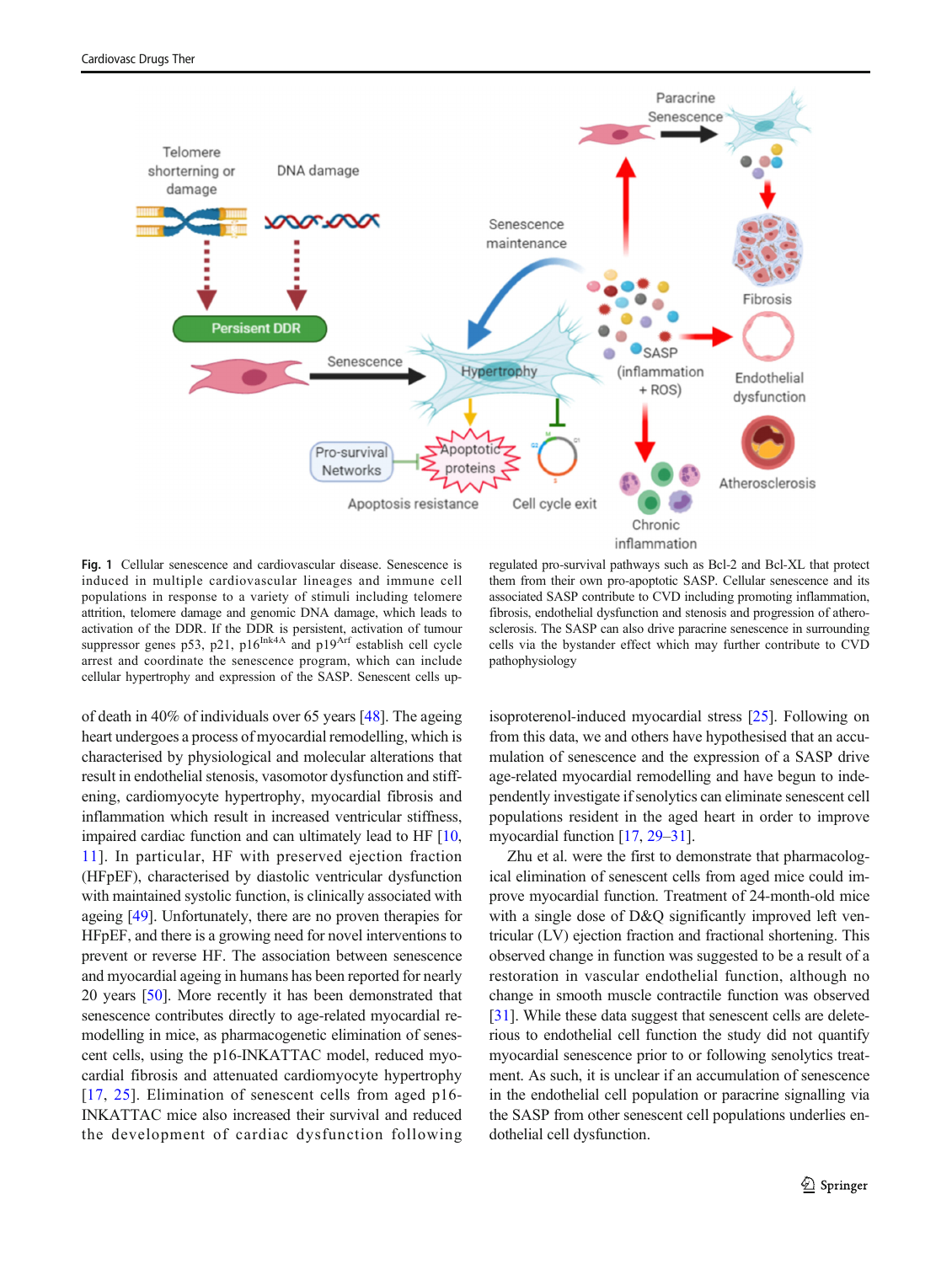<span id="page-2-0"></span>

Fig. 1 Cellular senescence and cardiovascular disease. Senescence is induced in multiple cardiovascular lineages and immune cell populations in response to a variety of stimuli including telomere attrition, telomere damage and genomic DNA damage, which leads to activation of the DDR. If the DDR is persistent, activation of tumour suppressor genes p53, p21,  $p16^{lnk4A}$  and  $p19^{Arf}$  establish cell cycle arrest and coordinate the senescence program, which can include cellular hypertrophy and expression of the SASP. Senescent cells up-

regulated pro-survival pathways such as Bcl-2 and Bcl-XL that protect them from their own pro-apoptotic SASP. Cellular senescence and its associated SASP contribute to CVD including promoting inflammation, fibrosis, endothelial dysfunction and stenosis and progression of atherosclerosis. The SASP can also drive paracrine senescence in surrounding cells via the bystander effect which may further contribute to CVD pathophysiology

of death in 40% of individuals over 65 years [\[48\]](#page-8-0). The ageing heart undergoes a process of myocardial remodelling, which is characterised by physiological and molecular alterations that result in endothelial stenosis, vasomotor dysfunction and stiffening, cardiomyocyte hypertrophy, myocardial fibrosis and inflammation which result in increased ventricular stiffness, impaired cardiac function and can ultimately lead to HF [[10,](#page-7-0) [11\]](#page-7-0). In particular, HF with preserved ejection fraction (HFpEF), characterised by diastolic ventricular dysfunction with maintained systolic function, is clinically associated with ageing [\[49\]](#page-8-0). Unfortunately, there are no proven therapies for HFpEF, and there is a growing need for novel interventions to prevent or reverse HF. The association between senescence and myocardial ageing in humans has been reported for nearly 20 years [[50\]](#page-8-0). More recently it has been demonstrated that senescence contributes directly to age-related myocardial remodelling in mice, as pharmacogenetic elimination of senescent cells, using the p16-INKATTAC model, reduced myocardial fibrosis and attenuated cardiomyocyte hypertrophy [\[17,](#page-7-0) [25\]](#page-7-0). Elimination of senescent cells from aged p16-INKATTAC mice also increased their survival and reduced the development of cardiac dysfunction following isoproterenol-induced myocardial stress [\[25](#page-7-0)]. Following on from this data, we and others have hypothesised that an accumulation of senescence and the expression of a SASP drive age-related myocardial remodelling and have begun to independently investigate if senolytics can eliminate senescent cell populations resident in the aged heart in order to improve myocardial function [\[17,](#page-7-0) [29](#page-7-0)–[31\]](#page-7-0).

Zhu et al. were the first to demonstrate that pharmacological elimination of senescent cells from aged mice could improve myocardial function. Treatment of 24-month-old mice with a single dose of D&Q significantly improved left ventricular (LV) ejection fraction and fractional shortening. This observed change in function was suggested to be a result of a restoration in vascular endothelial function, although no change in smooth muscle contractile function was observed [\[31](#page-7-0)]. While these data suggest that senescent cells are deleterious to endothelial cell function the study did not quantify myocardial senescence prior to or following senolytics treatment. As such, it is unclear if an accumulation of senescence in the endothelial cell population or paracrine signalling via the SASP from other senescent cell populations underlies endothelial cell dysfunction.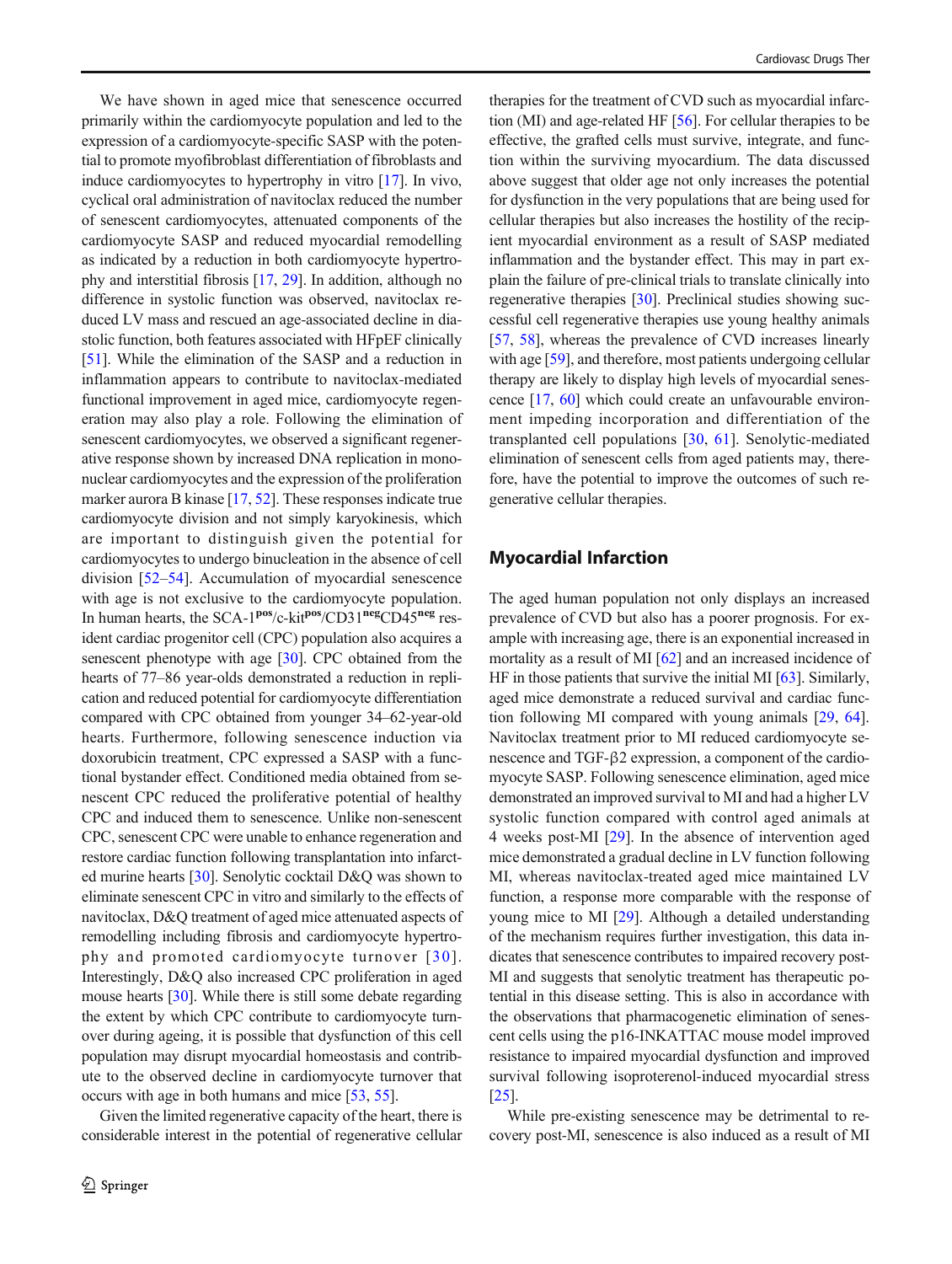We have shown in aged mice that senescence occurred primarily within the cardiomyocyte population and led to the expression of a cardiomyocyte-specific SASP with the potential to promote myofibroblast differentiation of fibroblasts and induce cardiomyocytes to hypertrophy in vitro [\[17\]](#page-7-0). In vivo, cyclical oral administration of navitoclax reduced the number of senescent cardiomyocytes, attenuated components of the cardiomyocyte SASP and reduced myocardial remodelling as indicated by a reduction in both cardiomyocyte hypertrophy and interstitial fibrosis [[17](#page-7-0), [29](#page-7-0)]. In addition, although no difference in systolic function was observed, navitoclax reduced LV mass and rescued an age-associated decline in diastolic function, both features associated with HFpEF clinically [\[51\]](#page-8-0). While the elimination of the SASP and a reduction in inflammation appears to contribute to navitoclax-mediated functional improvement in aged mice, cardiomyocyte regeneration may also play a role. Following the elimination of senescent cardiomyocytes, we observed a significant regenerative response shown by increased DNA replication in mononuclear cardiomyocytes and the expression of the proliferation marker aurora B kinase [\[17](#page-7-0), [52](#page-8-0)]. These responses indicate true cardiomyocyte division and not simply karyokinesis, which are important to distinguish given the potential for cardiomyocytes to undergo binucleation in the absence of cell division [\[52](#page-8-0)–[54](#page-8-0)]. Accumulation of myocardial senescence with age is not exclusive to the cardiomyocyte population. In human hearts, the SCA-1<sup>pos</sup>/c-kit<sup>pos</sup>/CD31<sup>neg</sup>CD45<sup>neg</sup> resident cardiac progenitor cell (CPC) population also acquires a senescent phenotype with age [[30\]](#page-7-0). CPC obtained from the hearts of 77–86 year-olds demonstrated a reduction in replication and reduced potential for cardiomyocyte differentiation compared with CPC obtained from younger 34–62-year-old hearts. Furthermore, following senescence induction via doxorubicin treatment, CPC expressed a SASP with a functional bystander effect. Conditioned media obtained from senescent CPC reduced the proliferative potential of healthy CPC and induced them to senescence. Unlike non-senescent CPC, senescent CPC were unable to enhance regeneration and restore cardiac function following transplantation into infarcted murine hearts [\[30](#page-7-0)]. Senolytic cocktail D&Q was shown to eliminate senescent CPC in vitro and similarly to the effects of navitoclax, D&Q treatment of aged mice attenuated aspects of remodelling including fibrosis and cardiomyocyte hypertrophy and promoted cardiomyocyte turnover [[30\]](#page-7-0). Interestingly, D&Q also increased CPC proliferation in aged mouse hearts [\[30\]](#page-7-0). While there is still some debate regarding the extent by which CPC contribute to cardiomyocyte turnover during ageing, it is possible that dysfunction of this cell population may disrupt myocardial homeostasis and contribute to the observed decline in cardiomyocyte turnover that occurs with age in both humans and mice [\[53](#page-8-0), [55\]](#page-8-0).

Given the limited regenerative capacity of the heart, there is considerable interest in the potential of regenerative cellular

therapies for the treatment of CVD such as myocardial infarction (MI) and age-related HF [\[56](#page-8-0)]. For cellular therapies to be effective, the grafted cells must survive, integrate, and function within the surviving myocardium. The data discussed above suggest that older age not only increases the potential for dysfunction in the very populations that are being used for cellular therapies but also increases the hostility of the recipient myocardial environment as a result of SASP mediated inflammation and the bystander effect. This may in part explain the failure of pre-clinical trials to translate clinically into regenerative therapies [\[30](#page-7-0)]. Preclinical studies showing successful cell regenerative therapies use young healthy animals [\[57](#page-8-0), [58\]](#page-8-0), whereas the prevalence of CVD increases linearly with age [\[59\]](#page-8-0), and therefore, most patients undergoing cellular therapy are likely to display high levels of myocardial senescence [[17](#page-7-0), [60\]](#page-8-0) which could create an unfavourable environment impeding incorporation and differentiation of the transplanted cell populations [[30,](#page-7-0) [61](#page-8-0)]. Senolytic-mediated elimination of senescent cells from aged patients may, therefore, have the potential to improve the outcomes of such regenerative cellular therapies.

#### Myocardial Infarction

The aged human population not only displays an increased prevalence of CVD but also has a poorer prognosis. For example with increasing age, there is an exponential increased in mortality as a result of MI [[62](#page-8-0)] and an increased incidence of HF in those patients that survive the initial MI [\[63](#page-8-0)]. Similarly, aged mice demonstrate a reduced survival and cardiac function following MI compared with young animals [[29](#page-7-0), [64\]](#page-8-0). Navitoclax treatment prior to MI reduced cardiomyocyte senescence and TGF-β2 expression, a component of the cardiomyocyte SASP. Following senescence elimination, aged mice demonstrated an improved survival to MI and had a higher LV systolic function compared with control aged animals at 4 weeks post-MI [\[29](#page-7-0)]. In the absence of intervention aged mice demonstrated a gradual decline in LV function following MI, whereas navitoclax-treated aged mice maintained LV function, a response more comparable with the response of young mice to MI [\[29\]](#page-7-0). Although a detailed understanding of the mechanism requires further investigation, this data indicates that senescence contributes to impaired recovery post-MI and suggests that senolytic treatment has therapeutic potential in this disease setting. This is also in accordance with the observations that pharmacogenetic elimination of senescent cells using the p16-INKATTAC mouse model improved resistance to impaired myocardial dysfunction and improved survival following isoproterenol-induced myocardial stress [\[25](#page-7-0)].

While pre-existing senescence may be detrimental to recovery post-MI, senescence is also induced as a result of MI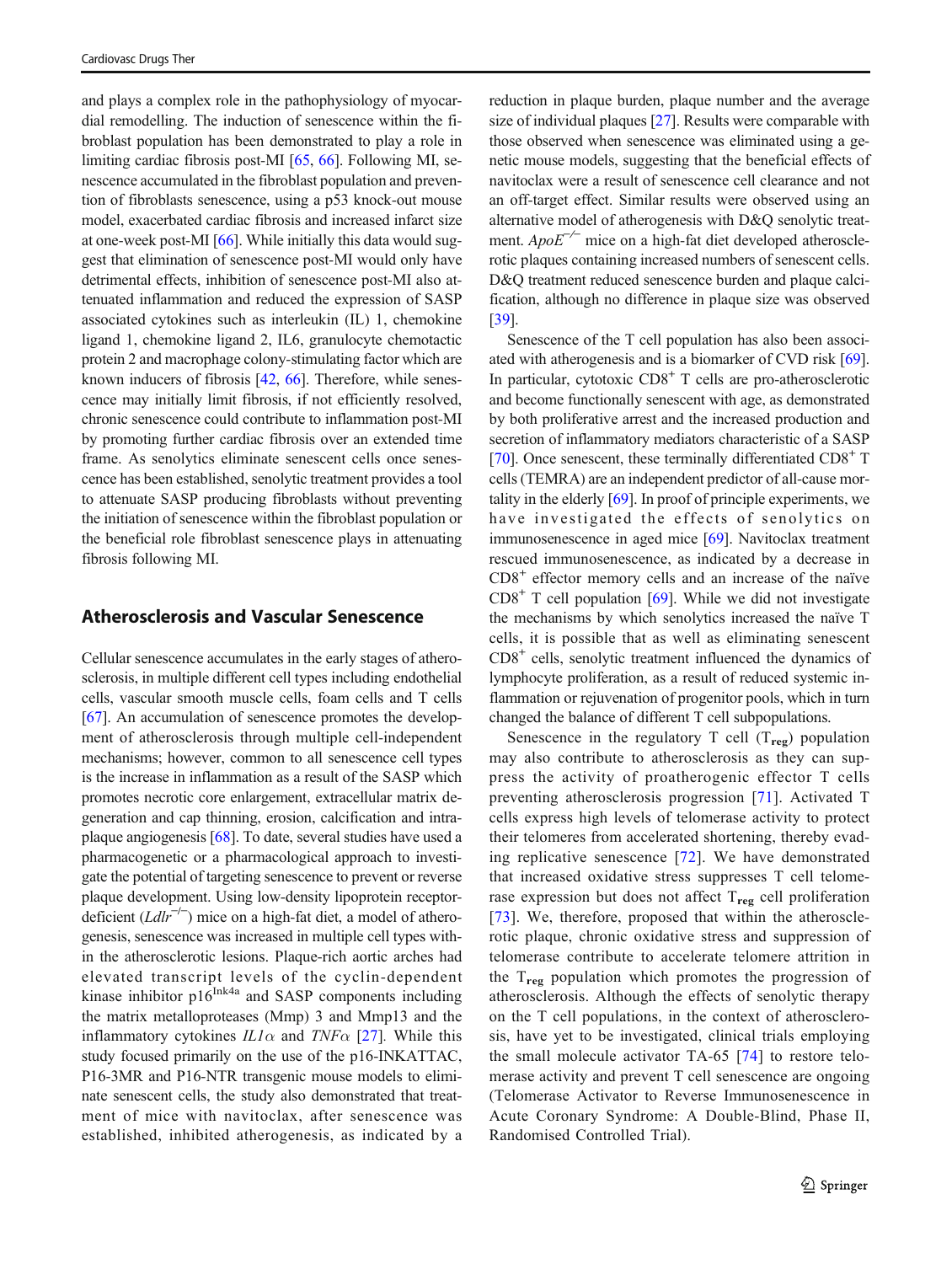and plays a complex role in the pathophysiology of myocardial remodelling. The induction of senescence within the fibroblast population has been demonstrated to play a role in limiting cardiac fibrosis post-MI [\[65,](#page-8-0) [66](#page-8-0)]. Following MI, senescence accumulated in the fibroblast population and prevention of fibroblasts senescence, using a p53 knock-out mouse model, exacerbated cardiac fibrosis and increased infarct size at one-week post-MI [\[66](#page-8-0)]. While initially this data would suggest that elimination of senescence post-MI would only have detrimental effects, inhibition of senescence post-MI also attenuated inflammation and reduced the expression of SASP associated cytokines such as interleukin (IL) 1, chemokine ligand 1, chemokine ligand 2, IL6, granulocyte chemotactic protein 2 and macrophage colony-stimulating factor which are known inducers of fibrosis [\[42,](#page-8-0) [66](#page-8-0)]. Therefore, while senescence may initially limit fibrosis, if not efficiently resolved, chronic senescence could contribute to inflammation post-MI by promoting further cardiac fibrosis over an extended time frame. As senolytics eliminate senescent cells once senescence has been established, senolytic treatment provides a tool to attenuate SASP producing fibroblasts without preventing the initiation of senescence within the fibroblast population or the beneficial role fibroblast senescence plays in attenuating fibrosis following MI.

#### Atherosclerosis and Vascular Senescence

Cellular senescence accumulates in the early stages of atherosclerosis, in multiple different cell types including endothelial cells, vascular smooth muscle cells, foam cells and T cells [\[67\]](#page-8-0). An accumulation of senescence promotes the development of atherosclerosis through multiple cell-independent mechanisms; however, common to all senescence cell types is the increase in inflammation as a result of the SASP which promotes necrotic core enlargement, extracellular matrix degeneration and cap thinning, erosion, calcification and intraplaque angiogenesis [\[68](#page-8-0)]. To date, several studies have used a pharmacogenetic or a pharmacological approach to investigate the potential of targeting senescence to prevent or reverse plaque development. Using low-density lipoprotein receptordeficient (Ldlr−/<sup>−</sup> ) mice on a high-fat diet, a model of atherogenesis, senescence was increased in multiple cell types within the atherosclerotic lesions. Plaque-rich aortic arches had elevated transcript levels of the cyclin-dependent kinase inhibitor  $p16^{Ink4a}$  and SASP components including the matrix metalloproteases (Mmp) 3 and Mmp13 and the inflammatory cytokines  $IL1\alpha$  and  $TNF\alpha$  [\[27\]](#page-7-0). While this study focused primarily on the use of the p16-INKATTAC, P16-3MR and P16-NTR transgenic mouse models to eliminate senescent cells, the study also demonstrated that treatment of mice with navitoclax, after senescence was established, inhibited atherogenesis, as indicated by a reduction in plaque burden, plaque number and the average size of individual plaques [\[27\]](#page-7-0). Results were comparable with those observed when senescence was eliminated using a genetic mouse models, suggesting that the beneficial effects of navitoclax were a result of senescence cell clearance and not an off-target effect. Similar results were observed using an alternative model of atherogenesis with D&Q senolytic treatment.  $ApoE^{-/-}$  mice on a high-fat diet developed atherosclerotic plaques containing increased numbers of senescent cells. D&Q treatment reduced senescence burden and plaque calcification, although no difference in plaque size was observed [\[39](#page-7-0)].

Senescence of the T cell population has also been associated with atherogenesis and is a biomarker of CVD risk [[69\]](#page-8-0). In particular, cytotoxic  $CD8<sup>+</sup>$  T cells are pro-atherosclerotic and become functionally senescent with age, as demonstrated by both proliferative arrest and the increased production and secretion of inflammatory mediators characteristic of a SASP [\[70](#page-8-0)]. Once senescent, these terminally differentiated  $CD8<sup>+</sup>$  T cells (TEMRA) are an independent predictor of all-cause mortality in the elderly [[69](#page-8-0)]. In proof of principle experiments, we have investigated the effects of senolytics on immunosenescence in aged mice [\[69](#page-8-0)]. Navitoclax treatment rescued immunosenescence, as indicated by a decrease in  $CD8<sup>+</sup>$  effector memory cells and an increase of the naïve  $CD8<sup>+</sup>$  T cell population [\[69](#page-8-0)]. While we did not investigate the mechanisms by which senolytics increased the naïve T cells, it is possible that as well as eliminating senescent CD8+ cells, senolytic treatment influenced the dynamics of lymphocyte proliferation, as a result of reduced systemic inflammation or rejuvenation of progenitor pools, which in turn changed the balance of different T cell subpopulations.

Senescence in the regulatory  $T$  cell  $(T_{reg})$  population may also contribute to atherosclerosis as they can suppress the activity of proatherogenic effector T cells preventing atherosclerosis progression [[71\]](#page-8-0). Activated T cells express high levels of telomerase activity to protect their telomeres from accelerated shortening, thereby evading replicative senescence [\[72\]](#page-8-0). We have demonstrated that increased oxidative stress suppresses T cell telomerase expression but does not affect  $T_{reg}$  cell proliferation [\[73\]](#page-8-0). We, therefore, proposed that within the atherosclerotic plaque, chronic oxidative stress and suppression of telomerase contribute to accelerate telomere attrition in the  $T_{\text{reg}}$  population which promotes the progression of atherosclerosis. Although the effects of senolytic therapy on the T cell populations, in the context of atherosclerosis, have yet to be investigated, clinical trials employing the small molecule activator TA-65 [\[74](#page-8-0)] to restore telomerase activity and prevent T cell senescence are ongoing (Telomerase Activator to Reverse Immunosenescence in Acute Coronary Syndrome: A Double-Blind, Phase II, Randomised Controlled Trial).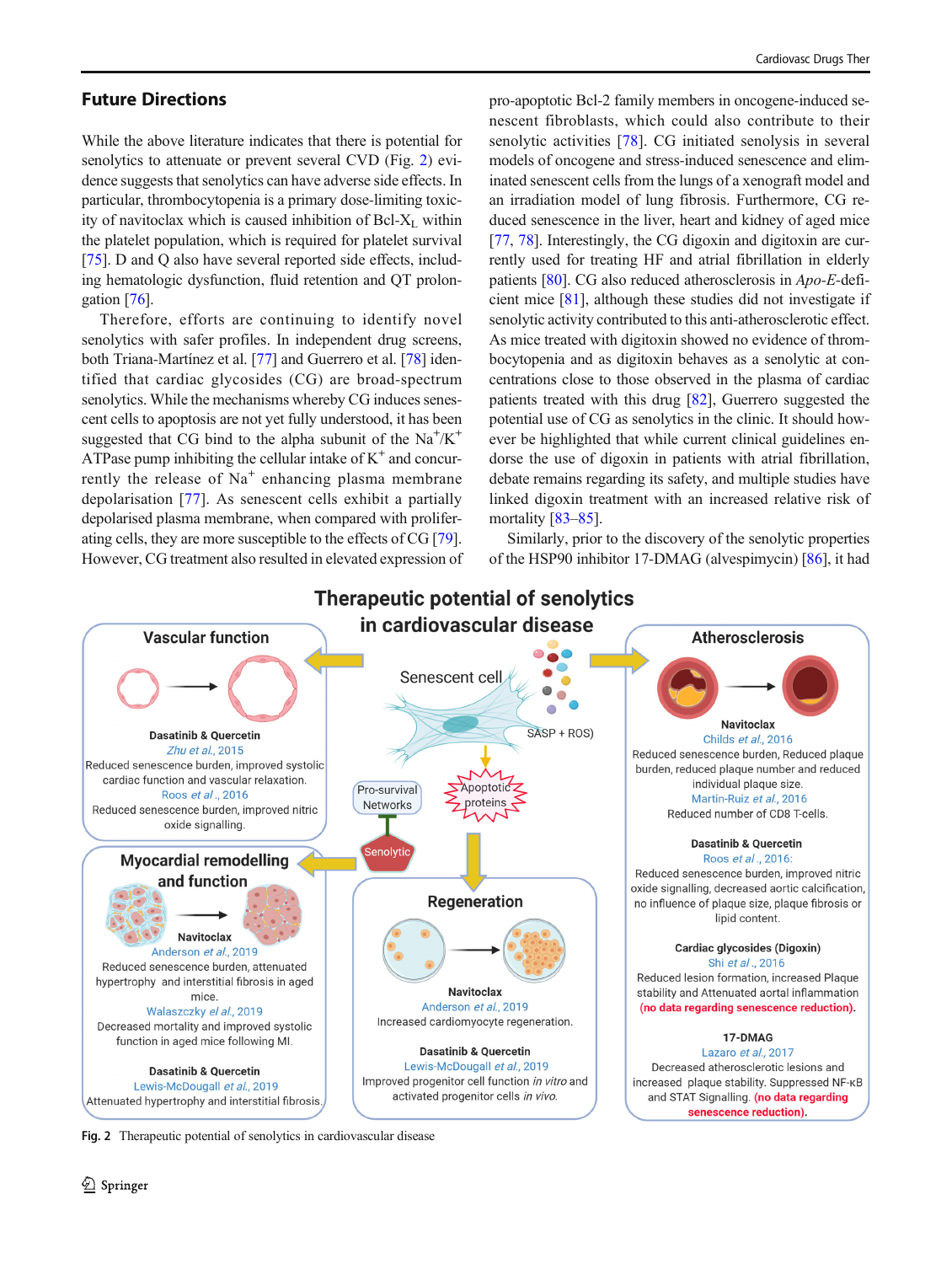# Future Directions

While the above literature indicates that there is potential for senolytics to attenuate or prevent several CVD (Fig. 2) evidence suggests that senolytics can have adverse side effects. In particular, thrombocytopenia is a primary dose-limiting toxicity of navitoclax which is caused inhibition of Bcl- $X_L$  within the platelet population, which is required for platelet survival [\[75\]](#page-8-0). D and Q also have several reported side effects, including hematologic dysfunction, fluid retention and QT prolongation [\[76\]](#page-8-0).

Therefore, efforts are continuing to identify novel senolytics with safer profiles. In independent drug screens, both Triana-Martínez et al. [\[77](#page-8-0)] and Guerrero et al. [[78\]](#page-8-0) identified that cardiac glycosides (CG) are broad-spectrum senolytics. While the mechanisms whereby CG induces senescent cells to apoptosis are not yet fully understood, it has been suggested that CG bind to the alpha subunit of the  $Na^+/K^+$ ATPase pump inhibiting the cellular intake of  $K^+$  and concurrently the release of  $Na<sup>+</sup>$  enhancing plasma membrane depolarisation [\[77\]](#page-8-0). As senescent cells exhibit a partially depolarised plasma membrane, when compared with proliferating cells, they are more susceptible to the effects of CG [[79\]](#page-8-0). However, CG treatment also resulted in elevated expression of

pro-apoptotic Bcl-2 family members in oncogene-induced senescent fibroblasts, which could also contribute to their senolytic activities [\[78\]](#page-8-0). CG initiated senolysis in several models of oncogene and stress-induced senescence and eliminated senescent cells from the lungs of a xenograft model and an irradiation model of lung fibrosis. Furthermore, CG reduced senescence in the liver, heart and kidney of aged mice [\[77](#page-8-0), [78](#page-8-0)]. Interestingly, the CG digoxin and digitoxin are currently used for treating HF and atrial fibrillation in elderly patients [\[80\]](#page-8-0). CG also reduced atherosclerosis in Apo-E-deficient mice [\[81](#page-9-0)], although these studies did not investigate if senolytic activity contributed to this anti-atherosclerotic effect. As mice treated with digitoxin showed no evidence of thrombocytopenia and as digitoxin behaves as a senolytic at concentrations close to those observed in the plasma of cardiac patients treated with this drug [[82\]](#page-9-0), Guerrero suggested the potential use of CG as senolytics in the clinic. It should however be highlighted that while current clinical guidelines endorse the use of digoxin in patients with atrial fibrillation, debate remains regarding its safety, and multiple studies have linked digoxin treatment with an increased relative risk of mortality [\[83](#page-9-0)–[85\]](#page-9-0).

Similarly, prior to the discovery of the senolytic properties of the HSP90 inhibitor 17-DMAG (alvespimycin) [[86\]](#page-9-0), it had



**Therapeutic potential of senolytics** 

Fig. 2 Therapeutic potential of senolytics in cardiovascular disease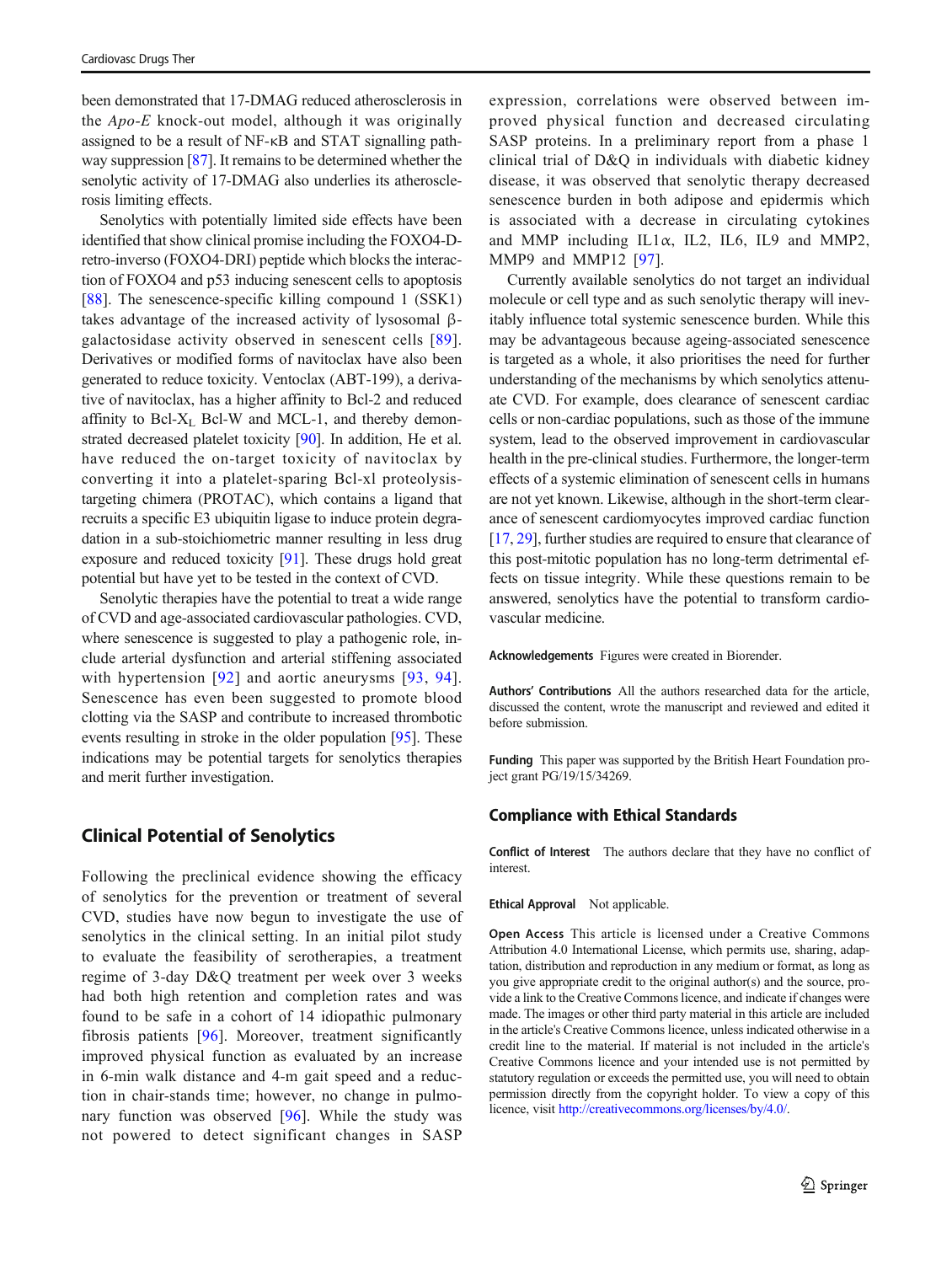been demonstrated that 17-DMAG reduced atherosclerosis in the  $Apo-E$  knock-out model, although it was originally assigned to be a result of NF-κB and STAT signalling pathway suppression [\[87\]](#page-9-0). It remains to be determined whether the senolytic activity of 17-DMAG also underlies its atherosclerosis limiting effects.

Senolytics with potentially limited side effects have been identified that show clinical promise including the FOXO4-Dretro-inverso (FOXO4-DRI) peptide which blocks the interaction of FOXO4 and p53 inducing senescent cells to apoptosis [\[88](#page-9-0)]. The senescence-specific killing compound 1 (SSK1) takes advantage of the increased activity of lysosomal βgalactosidase activity observed in senescent cells [[89](#page-9-0)]. Derivatives or modified forms of navitoclax have also been generated to reduce toxicity. Ventoclax (ABT-199), a derivative of navitoclax, has a higher affinity to Bcl-2 and reduced affinity to Bcl- $X_L$  Bcl-W and MCL-1, and thereby demonstrated decreased platelet toxicity [\[90\]](#page-9-0). In addition, He et al. have reduced the on-target toxicity of navitoclax by converting it into a platelet-sparing Bcl-xl proteolysistargeting chimera (PROTAC), which contains a ligand that recruits a specific E3 ubiquitin ligase to induce protein degradation in a sub-stoichiometric manner resulting in less drug exposure and reduced toxicity [[91\]](#page-9-0). These drugs hold great potential but have yet to be tested in the context of CVD.

Senolytic therapies have the potential to treat a wide range of CVD and age-associated cardiovascular pathologies. CVD, where senescence is suggested to play a pathogenic role, include arterial dysfunction and arterial stiffening associated with hypertension [\[92](#page-9-0)] and aortic aneurysms [[93,](#page-9-0) [94](#page-9-0)]. Senescence has even been suggested to promote blood clotting via the SASP and contribute to increased thrombotic events resulting in stroke in the older population [[95](#page-9-0)]. These indications may be potential targets for senolytics therapies and merit further investigation.

### Clinical Potential of Senolytics

Following the preclinical evidence showing the efficacy of senolytics for the prevention or treatment of several CVD, studies have now begun to investigate the use of senolytics in the clinical setting. In an initial pilot study to evaluate the feasibility of serotherapies, a treatment regime of 3-day D&Q treatment per week over 3 weeks had both high retention and completion rates and was found to be safe in a cohort of 14 idiopathic pulmonary fibrosis patients [[96\]](#page-9-0). Moreover, treatment significantly improved physical function as evaluated by an increase in 6-min walk distance and 4-m gait speed and a reduction in chair-stands time; however, no change in pulmonary function was observed [\[96\]](#page-9-0). While the study was not powered to detect significant changes in SASP

expression, correlations were observed between improved physical function and decreased circulating SASP proteins. In a preliminary report from a phase 1 clinical trial of D&Q in individuals with diabetic kidney disease, it was observed that senolytic therapy decreased senescence burden in both adipose and epidermis which is associated with a decrease in circulating cytokines and MMP including IL1 $\alpha$ , IL2, IL6, IL9 and MMP2, MMP9 and MMP12 [[97](#page-9-0)].

Currently available senolytics do not target an individual molecule or cell type and as such senolytic therapy will inevitably influence total systemic senescence burden. While this may be advantageous because ageing-associated senescence is targeted as a whole, it also prioritises the need for further understanding of the mechanisms by which senolytics attenuate CVD. For example, does clearance of senescent cardiac cells or non-cardiac populations, such as those of the immune system, lead to the observed improvement in cardiovascular health in the pre-clinical studies. Furthermore, the longer-term effects of a systemic elimination of senescent cells in humans are not yet known. Likewise, although in the short-term clearance of senescent cardiomyocytes improved cardiac function [\[17](#page-7-0), [29](#page-7-0)], further studies are required to ensure that clearance of this post-mitotic population has no long-term detrimental effects on tissue integrity. While these questions remain to be answered, senolytics have the potential to transform cardiovascular medicine.

Acknowledgements Figures were created in Biorender.

Authors' Contributions All the authors researched data for the article, discussed the content, wrote the manuscript and reviewed and edited it before submission.

Funding This paper was supported by the British Heart Foundation project grant PG/19/15/34269.

#### Compliance with Ethical Standards

Conflict of Interest The authors declare that they have no conflict of interest.

Ethical Approval Not applicable.

Open Access This article is licensed under a Creative Commons Attribution 4.0 International License, which permits use, sharing, adaptation, distribution and reproduction in any medium or format, as long as you give appropriate credit to the original author(s) and the source, provide a link to the Creative Commons licence, and indicate if changes were made. The images or other third party material in this article are included in the article's Creative Commons licence, unless indicated otherwise in a credit line to the material. If material is not included in the article's Creative Commons licence and your intended use is not permitted by statutory regulation or exceeds the permitted use, you will need to obtain permission directly from the copyright holder. To view a copy of this licence, visit [http://creativecommons.org/licenses/by/4.0/](https://doi.org/).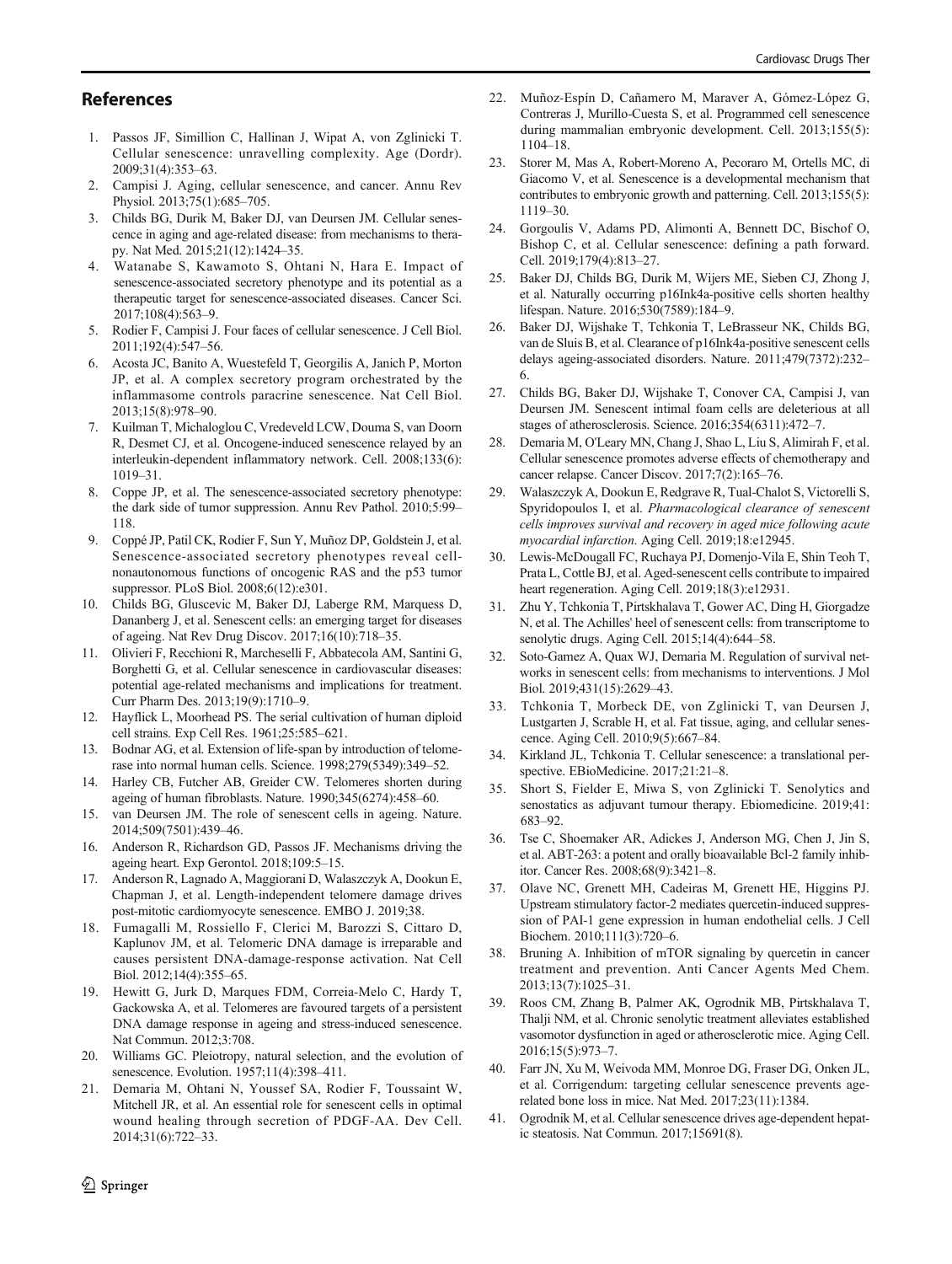#### <span id="page-7-0"></span>**References**

- 1. Passos JF, Simillion C, Hallinan J, Wipat A, von Zglinicki T. Cellular senescence: unravelling complexity. Age (Dordr). 2009;31(4):353–63.
- 2. Campisi J. Aging, cellular senescence, and cancer. Annu Rev Physiol. 2013;75(1):685–705.
- 3. Childs BG, Durik M, Baker DJ, van Deursen JM. Cellular senescence in aging and age-related disease: from mechanisms to therapy. Nat Med. 2015;21(12):1424–35.
- 4. Watanabe S, Kawamoto S, Ohtani N, Hara E. Impact of senescence-associated secretory phenotype and its potential as a therapeutic target for senescence-associated diseases. Cancer Sci. 2017;108(4):563–9.
- 5. Rodier F, Campisi J. Four faces of cellular senescence. J Cell Biol. 2011;192(4):547–56.
- 6. Acosta JC, Banito A, Wuestefeld T, Georgilis A, Janich P, Morton JP, et al. A complex secretory program orchestrated by the inflammasome controls paracrine senescence. Nat Cell Biol. 2013;15(8):978–90.
- 7. Kuilman T, Michaloglou C, Vredeveld LCW, Douma S, van Doorn R, Desmet CJ, et al. Oncogene-induced senescence relayed by an interleukin-dependent inflammatory network. Cell. 2008;133(6): 1019–31.
- 8. Coppe JP, et al. The senescence-associated secretory phenotype: the dark side of tumor suppression. Annu Rev Pathol. 2010;5:99– 118.
- 9. Coppé JP, Patil CK, Rodier F, Sun Y, Muñoz DP, Goldstein J, et al. Senescence-associated secretory phenotypes reveal cellnonautonomous functions of oncogenic RAS and the p53 tumor suppressor. PLoS Biol. 2008;6(12):e301.
- 10. Childs BG, Gluscevic M, Baker DJ, Laberge RM, Marquess D, Dananberg J, et al. Senescent cells: an emerging target for diseases of ageing. Nat Rev Drug Discov. 2017;16(10):718–35.
- 11. Olivieri F, Recchioni R, Marcheselli F, Abbatecola AM, Santini G, Borghetti G, et al. Cellular senescence in cardiovascular diseases: potential age-related mechanisms and implications for treatment. Curr Pharm Des. 2013;19(9):1710–9.
- 12. Hayflick L, Moorhead PS. The serial cultivation of human diploid cell strains. Exp Cell Res. 1961;25:585–621.
- 13. Bodnar AG, et al. Extension of life-span by introduction of telomerase into normal human cells. Science. 1998;279(5349):349–52.
- 14. Harley CB, Futcher AB, Greider CW. Telomeres shorten during ageing of human fibroblasts. Nature. 1990;345(6274):458–60.
- 15. van Deursen JM. The role of senescent cells in ageing. Nature. 2014;509(7501):439–46.
- 16. Anderson R, Richardson GD, Passos JF. Mechanisms driving the ageing heart. Exp Gerontol. 2018;109:5–15.
- 17. Anderson R, Lagnado A, Maggiorani D, Walaszczyk A, Dookun E, Chapman J, et al. Length-independent telomere damage drives post-mitotic cardiomyocyte senescence. EMBO J. 2019;38.
- 18. Fumagalli M, Rossiello F, Clerici M, Barozzi S, Cittaro D, Kaplunov JM, et al. Telomeric DNA damage is irreparable and causes persistent DNA-damage-response activation. Nat Cell Biol. 2012;14(4):355–65.
- 19. Hewitt G, Jurk D, Marques FDM, Correia-Melo C, Hardy T, Gackowska A, et al. Telomeres are favoured targets of a persistent DNA damage response in ageing and stress-induced senescence. Nat Commun. 2012;3:708.
- 20. Williams GC. Pleiotropy, natural selection, and the evolution of senescence. Evolution. 1957;11(4):398–411.
- 21. Demaria M, Ohtani N, Youssef SA, Rodier F, Toussaint W, Mitchell JR, et al. An essential role for senescent cells in optimal wound healing through secretion of PDGF-AA. Dev Cell. 2014;31(6):722–33.
- 22. Muñoz-Espín D, Cañamero M, Maraver A, Gómez-López G, Contreras J, Murillo-Cuesta S, et al. Programmed cell senescence during mammalian embryonic development. Cell. 2013;155(5): 1104–18.
- 23. Storer M, Mas A, Robert-Moreno A, Pecoraro M, Ortells MC, di Giacomo V, et al. Senescence is a developmental mechanism that contributes to embryonic growth and patterning. Cell. 2013;155(5): 1119–30.
- 24. Gorgoulis V, Adams PD, Alimonti A, Bennett DC, Bischof O, Bishop C, et al. Cellular senescence: defining a path forward. Cell. 2019;179(4):813–27.
- 25. Baker DJ, Childs BG, Durik M, Wijers ME, Sieben CJ, Zhong J, et al. Naturally occurring p16Ink4a-positive cells shorten healthy lifespan. Nature. 2016;530(7589):184–9.
- 26. Baker DJ, Wijshake T, Tchkonia T, LeBrasseur NK, Childs BG, van de Sluis B, et al. Clearance of p16Ink4a-positive senescent cells delays ageing-associated disorders. Nature. 2011;479(7372):232– 6.
- 27. Childs BG, Baker DJ, Wijshake T, Conover CA, Campisi J, van Deursen JM. Senescent intimal foam cells are deleterious at all stages of atherosclerosis. Science. 2016;354(6311):472–7.
- 28. Demaria M, O'Leary MN, Chang J, Shao L, Liu S, Alimirah F, et al. Cellular senescence promotes adverse effects of chemotherapy and cancer relapse. Cancer Discov. 2017;7(2):165–76.
- 29. Walaszczyk A, Dookun E, Redgrave R, Tual-Chalot S, Victorelli S, Spyridopoulos I, et al. Pharmacological clearance of senescent cells improves survival and recovery in aged mice following acute myocardial infarction. Aging Cell. 2019;18:e12945.
- 30. Lewis-McDougall FC, Ruchaya PJ, Domenjo-Vila E, Shin Teoh T, Prata L, Cottle BJ, et al. Aged-senescent cells contribute to impaired heart regeneration. Aging Cell. 2019;18(3):e12931.
- 31. Zhu Y, Tchkonia T, Pirtskhalava T, Gower AC, Ding H, Giorgadze N, et al. The Achilles' heel of senescent cells: from transcriptome to senolytic drugs. Aging Cell. 2015;14(4):644–58.
- 32. Soto-Gamez A, Quax WJ, Demaria M. Regulation of survival networks in senescent cells: from mechanisms to interventions. J Mol Biol. 2019;431(15):2629–43.
- 33. Tchkonia T, Morbeck DE, von Zglinicki T, van Deursen J, Lustgarten J, Scrable H, et al. Fat tissue, aging, and cellular senescence. Aging Cell. 2010;9(5):667–84.
- 34. Kirkland JL, Tchkonia T. Cellular senescence: a translational perspective. EBioMedicine. 2017;21:21–8.
- 35. Short S, Fielder E, Miwa S, von Zglinicki T. Senolytics and senostatics as adjuvant tumour therapy. Ebiomedicine. 2019;41: 683–92.
- 36. Tse C, Shoemaker AR, Adickes J, Anderson MG, Chen J, Jin S, et al. ABT-263: a potent and orally bioavailable Bcl-2 family inhibitor. Cancer Res. 2008;68(9):3421–8.
- 37. Olave NC, Grenett MH, Cadeiras M, Grenett HE, Higgins PJ. Upstream stimulatory factor-2 mediates quercetin-induced suppression of PAI-1 gene expression in human endothelial cells. J Cell Biochem. 2010;111(3):720–6.
- 38. Bruning A. Inhibition of mTOR signaling by quercetin in cancer treatment and prevention. Anti Cancer Agents Med Chem. 2013;13(7):1025–31.
- 39. Roos CM, Zhang B, Palmer AK, Ogrodnik MB, Pirtskhalava T, Thalji NM, et al. Chronic senolytic treatment alleviates established vasomotor dysfunction in aged or atherosclerotic mice. Aging Cell. 2016;15(5):973–7.
- 40. Farr JN, Xu M, Weivoda MM, Monroe DG, Fraser DG, Onken JL, et al. Corrigendum: targeting cellular senescence prevents agerelated bone loss in mice. Nat Med. 2017;23(11):1384.
- 41. Ogrodnik M, et al. Cellular senescence drives age-dependent hepatic steatosis. Nat Commun. 2017;15691(8).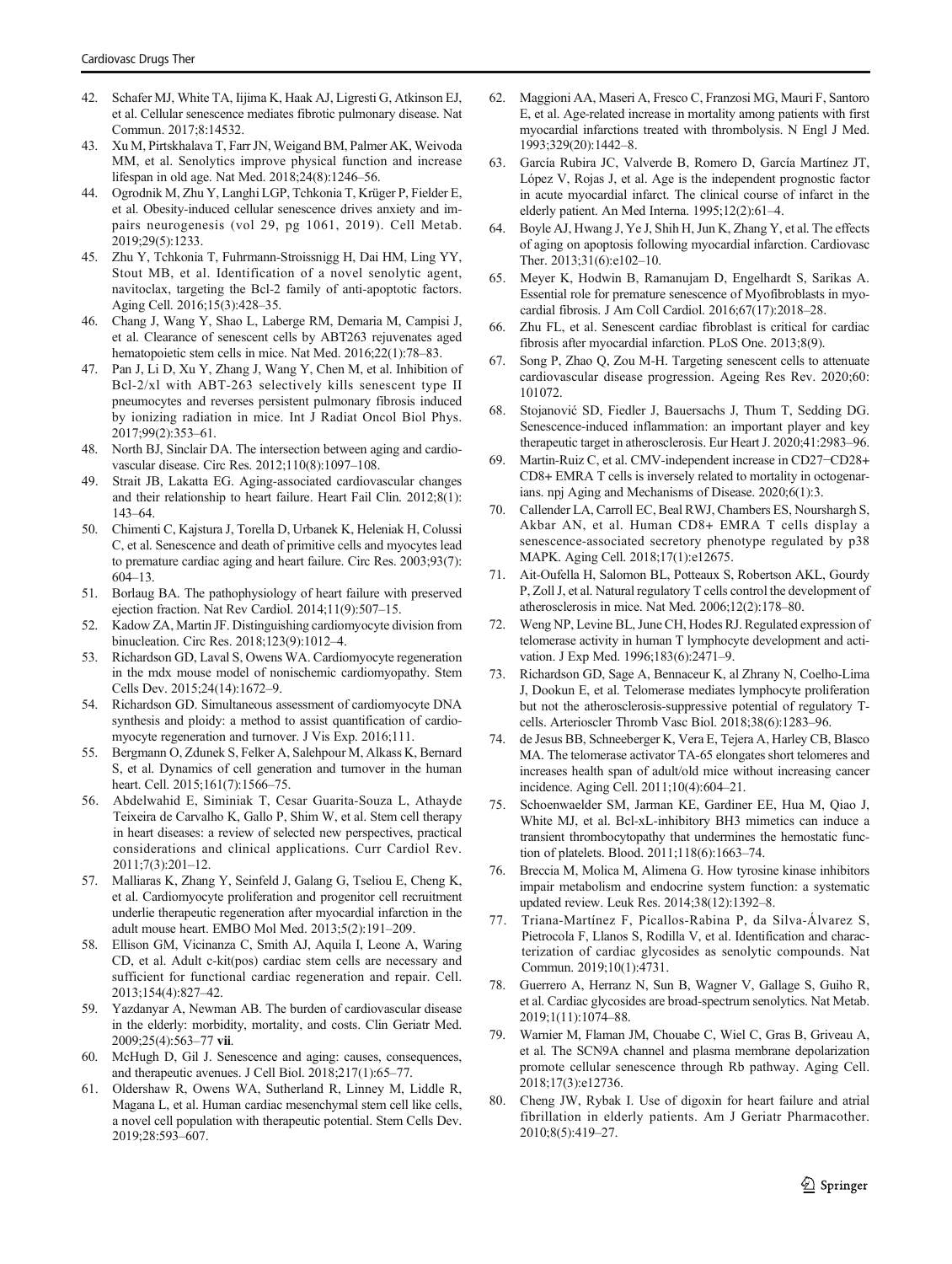- <span id="page-8-0"></span>42. Schafer MJ, White TA, Iijima K, Haak AJ, Ligresti G, Atkinson EJ, et al. Cellular senescence mediates fibrotic pulmonary disease. Nat Commun. 2017;8:14532.
- 43. Xu M, Pirtskhalava T, Farr JN, Weigand BM, Palmer AK, Weivoda MM, et al. Senolytics improve physical function and increase lifespan in old age. Nat Med. 2018;24(8):1246–56.
- 44. Ogrodnik M, Zhu Y, Langhi LGP, Tchkonia T, Krüger P, Fielder E, et al. Obesity-induced cellular senescence drives anxiety and impairs neurogenesis (vol 29, pg 1061, 2019). Cell Metab. 2019;29(5):1233.
- 45. Zhu Y, Tchkonia T, Fuhrmann-Stroissnigg H, Dai HM, Ling YY, Stout MB, et al. Identification of a novel senolytic agent, navitoclax, targeting the Bcl-2 family of anti-apoptotic factors. Aging Cell. 2016;15(3):428–35.
- 46. Chang J, Wang Y, Shao L, Laberge RM, Demaria M, Campisi J, et al. Clearance of senescent cells by ABT263 rejuvenates aged hematopoietic stem cells in mice. Nat Med. 2016;22(1):78–83.
- 47. Pan J, Li D, Xu Y, Zhang J, Wang Y, Chen M, et al. Inhibition of Bcl-2/xl with ABT-263 selectively kills senescent type II pneumocytes and reverses persistent pulmonary fibrosis induced by ionizing radiation in mice. Int J Radiat Oncol Biol Phys. 2017;99(2):353–61.
- 48. North BJ, Sinclair DA. The intersection between aging and cardiovascular disease. Circ Res. 2012;110(8):1097–108.
- 49. Strait JB, Lakatta EG. Aging-associated cardiovascular changes and their relationship to heart failure. Heart Fail Clin. 2012;8(1): 143–64.
- 50. Chimenti C, Kajstura J, Torella D, Urbanek K, Heleniak H, Colussi C, et al. Senescence and death of primitive cells and myocytes lead to premature cardiac aging and heart failure. Circ Res. 2003;93(7): 604–13.
- 51. Borlaug BA. The pathophysiology of heart failure with preserved ejection fraction. Nat Rev Cardiol. 2014;11(9):507–15.
- 52. Kadow ZA, Martin JF. Distinguishing cardiomyocyte division from binucleation. Circ Res. 2018;123(9):1012–4.
- 53. Richardson GD, Laval S, Owens WA. Cardiomyocyte regeneration in the mdx mouse model of nonischemic cardiomyopathy. Stem Cells Dev. 2015;24(14):1672–9.
- 54. Richardson GD. Simultaneous assessment of cardiomyocyte DNA synthesis and ploidy: a method to assist quantification of cardiomyocyte regeneration and turnover. J Vis Exp. 2016;111.
- 55. Bergmann O, Zdunek S, Felker A, Salehpour M, Alkass K, Bernard S, et al. Dynamics of cell generation and turnover in the human heart. Cell. 2015;161(7):1566-75.
- 56. Abdelwahid E, Siminiak T, Cesar Guarita-Souza L, Athayde Teixeira de Carvalho K, Gallo P, Shim W, et al. Stem cell therapy in heart diseases: a review of selected new perspectives, practical considerations and clinical applications. Curr Cardiol Rev. 2011;7(3):201–12.
- 57. Malliaras K, Zhang Y, Seinfeld J, Galang G, Tseliou E, Cheng K, et al. Cardiomyocyte proliferation and progenitor cell recruitment underlie therapeutic regeneration after myocardial infarction in the adult mouse heart. EMBO Mol Med. 2013;5(2):191–209.
- 58. Ellison GM, Vicinanza C, Smith AJ, Aquila I, Leone A, Waring CD, et al. Adult c-kit(pos) cardiac stem cells are necessary and sufficient for functional cardiac regeneration and repair. Cell. 2013;154(4):827–42.
- 59. Yazdanyar A, Newman AB. The burden of cardiovascular disease in the elderly: morbidity, mortality, and costs. Clin Geriatr Med. 2009;25(4):563–<sup>77</sup> vii.
- 60. McHugh D, Gil J. Senescence and aging: causes, consequences, and therapeutic avenues. J Cell Biol. 2018;217(1):65–77.
- 61. Oldershaw R, Owens WA, Sutherland R, Linney M, Liddle R, Magana L, et al. Human cardiac mesenchymal stem cell like cells, a novel cell population with therapeutic potential. Stem Cells Dev. 2019;28:593–607.
- 62. Maggioni AA, Maseri A, Fresco C, Franzosi MG, Mauri F, Santoro E, et al. Age-related increase in mortality among patients with first myocardial infarctions treated with thrombolysis. N Engl J Med. 1993;329(20):1442–8.
- 63. García Rubira JC, Valverde B, Romero D, García Martínez JT, López V, Rojas J, et al. Age is the independent prognostic factor in acute myocardial infarct. The clinical course of infarct in the elderly patient. An Med Interna. 1995;12(2):61–4.
- 64. Boyle AJ, Hwang J, Ye J, Shih H, Jun K, Zhang Y, et al. The effects of aging on apoptosis following myocardial infarction. Cardiovasc Ther. 2013;31(6):e102–10.
- 65. Meyer K, Hodwin B, Ramanujam D, Engelhardt S, Sarikas A. Essential role for premature senescence of Myofibroblasts in myocardial fibrosis. J Am Coll Cardiol. 2016;67(17):2018–28.
- 66. Zhu FL, et al. Senescent cardiac fibroblast is critical for cardiac fibrosis after myocardial infarction. PLoS One. 2013;8(9).
- 67. Song P, Zhao Q, Zou M-H. Targeting senescent cells to attenuate cardiovascular disease progression. Ageing Res Rev. 2020;60: 101072.
- 68. Stojanović SD, Fiedler J, Bauersachs J, Thum T, Sedding DG. Senescence-induced inflammation: an important player and key therapeutic target in atherosclerosis. Eur Heart J. 2020;41:2983–96.
- 69. Martin-Ruiz C, et al. CMV-independent increase in CD27−CD28+ CD8+ EMRA T cells is inversely related to mortality in octogenarians. npj Aging and Mechanisms of Disease. 2020;6(1):3.
- 70. Callender LA, Carroll EC, Beal RWJ, Chambers ES, Nourshargh S, Akbar AN, et al. Human CD8+ EMRA T cells display a senescence-associated secretory phenotype regulated by p38 MAPK. Aging Cell. 2018;17(1):e12675.
- 71. Ait-Oufella H, Salomon BL, Potteaux S, Robertson AKL, Gourdy P, Zoll J, et al. Natural regulatory T cells control the development of atherosclerosis in mice. Nat Med. 2006;12(2):178–80.
- 72. Weng NP, Levine BL, June CH, Hodes RJ. Regulated expression of telomerase activity in human T lymphocyte development and activation. J Exp Med. 1996;183(6):2471–9.
- 73. Richardson GD, Sage A, Bennaceur K, al Zhrany N, Coelho-Lima J, Dookun E, et al. Telomerase mediates lymphocyte proliferation but not the atherosclerosis-suppressive potential of regulatory Tcells. Arterioscler Thromb Vasc Biol. 2018;38(6):1283–96.
- 74. de Jesus BB, Schneeberger K, Vera E, Tejera A, Harley CB, Blasco MA. The telomerase activator TA-65 elongates short telomeres and increases health span of adult/old mice without increasing cancer incidence. Aging Cell. 2011;10(4):604–21.
- 75. Schoenwaelder SM, Jarman KE, Gardiner EE, Hua M, Qiao J, White MJ, et al. Bcl-xL-inhibitory BH3 mimetics can induce a transient thrombocytopathy that undermines the hemostatic function of platelets. Blood. 2011;118(6):1663–74.
- Breccia M, Molica M, Alimena G. How tyrosine kinase inhibitors impair metabolism and endocrine system function: a systematic updated review. Leuk Res. 2014;38(12):1392–8.
- 77. Triana-Martínez F, Picallos-Rabina P, da Silva-Álvarez S, Pietrocola F, Llanos S, Rodilla V, et al. Identification and characterization of cardiac glycosides as senolytic compounds. Nat Commun. 2019;10(1):4731.
- 78. Guerrero A, Herranz N, Sun B, Wagner V, Gallage S, Guiho R, et al. Cardiac glycosides are broad-spectrum senolytics. Nat Metab. 2019;1(11):1074–88.
- 79. Warnier M, Flaman JM, Chouabe C, Wiel C, Gras B, Griveau A, et al. The SCN9A channel and plasma membrane depolarization promote cellular senescence through Rb pathway. Aging Cell. 2018;17(3):e12736.
- 80. Cheng JW, Rybak I. Use of digoxin for heart failure and atrial fibrillation in elderly patients. Am J Geriatr Pharmacother. 2010;8(5):419–27.